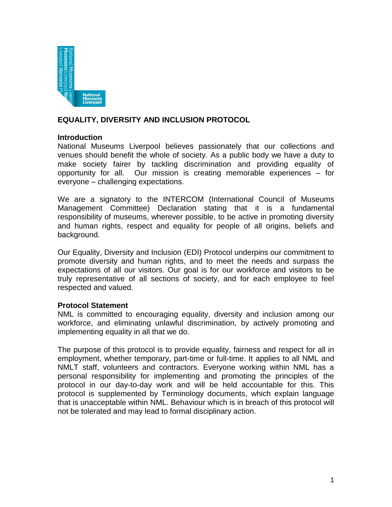

# **EQUALITY, DIVERSITY AND INCLUSION PROTOCOL**

#### **Introduction**

National Museums Liverpool believes passionately that our collections and venues should benefit the whole of society. As a public body we have a duty to make society fairer by tackling discrimination and providing equality of opportunity for all. Our mission is creating memorable experiences – for everyone – challenging expectations.

We are a signatory to the INTERCOM (International Council of Museums Management Committee) Declaration stating that it is a fundamental responsibility of museums, wherever possible, to be active in promoting diversity and human rights, respect and equality for people of all origins, beliefs and background.

Our Equality, Diversity and Inclusion (EDI) Protocol underpins our commitment to promote diversity and human rights, and to meet the needs and surpass the expectations of all our visitors. Our goal is for our workforce and visitors to be truly representative of all sections of society, and for each employee to feel respected and valued.

## **Protocol Statement**

NML is committed to encouraging equality, diversity and inclusion among our workforce, and eliminating unlawful discrimination, by actively promoting and implementing equality in all that we do.

The purpose of this protocol is to provide equality, fairness and respect for all in employment, whether temporary, part-time or full-time. It applies to all NML and NMLT staff, volunteers and contractors. Everyone working within NML has a personal responsibility for implementing and promoting the principles of the protocol in our day-to-day work and will be held accountable for this. This protocol is supplemented by Terminology documents, which explain language that is unacceptable within NML. Behaviour which is in breach of this protocol will not be tolerated and may lead to formal disciplinary action.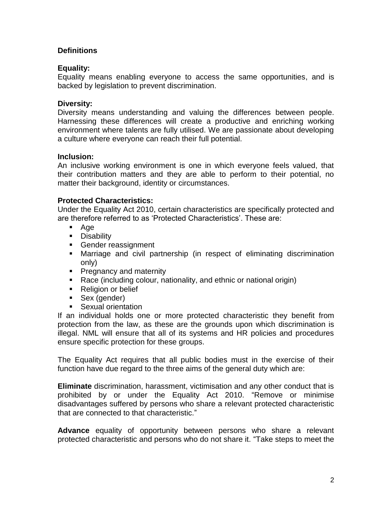# **Definitions**

## **Equality:**

Equality means enabling everyone to access the same opportunities, and is backed by legislation to prevent discrimination.

## **Diversity:**

Diversity means understanding and valuing the differences between people. Harnessing these differences will create a productive and enriching working environment where talents are fully utilised. We are passionate about developing a culture where everyone can reach their full potential.

## **Inclusion:**

An inclusive working environment is one in which everyone feels valued, that their contribution matters and they are able to perform to their potential, no matter their background, identity or circumstances.

# **Protected Characteristics:**

Under the Equality Act 2010, certain characteristics are specifically protected and are therefore referred to as 'Protected Characteristics'. These are:

- Age
- **Disability**
- Gender reassignment
- Marriage and civil partnership (in respect of eliminating discrimination only)
- **Pregnancy and maternity**
- Race (including colour, nationality, and ethnic or national origin)
- Religion or belief
- Sex (gender)
- **Sexual orientation**

If an individual holds one or more protected characteristic they benefit from protection from the law, as these are the grounds upon which discrimination is illegal. NML will ensure that all of its systems and HR policies and procedures ensure specific protection for these groups.

The Equality Act requires that all public bodies must in the exercise of their function have due regard to the three aims of the general duty which are:

**Eliminate** discrimination, harassment, victimisation and any other conduct that is prohibited by or under the Equality Act 2010. "Remove or minimise disadvantages suffered by persons who share a relevant protected characteristic that are connected to that characteristic."

**Advance** equality of opportunity between persons who share a relevant protected characteristic and persons who do not share it. "Take steps to meet the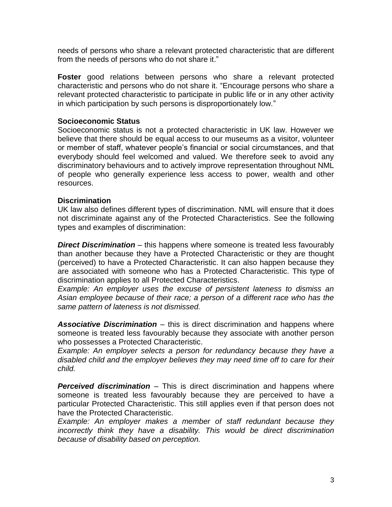needs of persons who share a relevant protected characteristic that are different from the needs of persons who do not share it."

**Foster** good relations between persons who share a relevant protected characteristic and persons who do not share it. "Encourage persons who share a relevant protected characteristic to participate in public life or in any other activity in which participation by such persons is disproportionately low."

#### **Socioeconomic Status**

Socioeconomic status is not a protected characteristic in UK law. However we believe that there should be equal access to our museums as a visitor, volunteer or member of staff, whatever people's financial or social circumstances, and that everybody should feel welcomed and valued. We therefore seek to avoid any discriminatory behaviours and to actively improve representation throughout NML of people who generally experience less access to power, wealth and other resources.

#### **Discrimination**

UK law also defines different types of discrimination. NML will ensure that it does not discriminate against any of the Protected Characteristics. See the following types and examples of discrimination:

*Direct Discrimination* – this happens where someone is treated less favourably than another because they have a Protected Characteristic or they are thought (perceived) to have a Protected Characteristic. It can also happen because they are associated with someone who has a Protected Characteristic. This type of discrimination applies to all Protected Characteristics.

*Example: An employer uses the excuse of persistent lateness to dismiss an Asian employee because of their race; a person of a different race who has the same pattern of lateness is not dismissed.*

*Associative Discrimination* – this is direct discrimination and happens where someone is treated less favourably because they associate with another person who possesses a Protected Characteristic.

*Example: An employer selects a person for redundancy because they have a disabled child and the employer believes they may need time off to care for their child.*

*Perceived discrimination* – This is direct discrimination and happens where someone is treated less favourably because they are perceived to have a particular Protected Characteristic. This still applies even if that person does not have the Protected Characteristic.

*Example: An employer makes a member of staff redundant because they incorrectly think they have a disability. This would be direct discrimination because of disability based on perception.*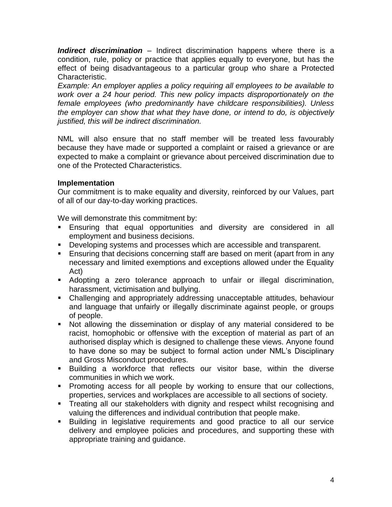*Indirect discrimination* – Indirect discrimination happens where there is a condition, rule, policy or practice that applies equally to everyone, but has the effect of being disadvantageous to a particular group who share a Protected Characteristic.

*Example: An employer applies a policy requiring all employees to be available to work over a 24 hour period. This new policy impacts disproportionately on the female employees (who predominantly have childcare responsibilities). Unless the employer can show that what they have done, or intend to do, is objectively justified, this will be indirect discrimination.*

NML will also ensure that no staff member will be treated less favourably because they have made or supported a complaint or raised a grievance or are expected to make a complaint or grievance about perceived discrimination due to one of the Protected Characteristics.

## **Implementation**

Our commitment is to make equality and diversity, reinforced by our Values, part of all of our day-to-day working practices.

We will demonstrate this commitment by:

- Ensuring that equal opportunities and diversity are considered in all employment and business decisions.
- Developing systems and processes which are accessible and transparent.
- **Ensuring that decisions concerning staff are based on merit (apart from in any** necessary and limited exemptions and exceptions allowed under the Equality Act)
- Adopting a zero tolerance approach to unfair or illegal discrimination, harassment, victimisation and bullying.
- Challenging and appropriately addressing unacceptable attitudes, behaviour and language that unfairly or illegally discriminate against people, or groups of people.
- Not allowing the dissemination or display of any material considered to be racist, homophobic or offensive with the exception of material as part of an authorised display which is designed to challenge these views. Anyone found to have done so may be subject to formal action under NML's Disciplinary and Gross Misconduct procedures.
- Building a workforce that reflects our visitor base, within the diverse communities in which we work.
- **Promoting access for all people by working to ensure that our collections,** properties, services and workplaces are accessible to all sections of society.
- **Treating all our stakeholders with dignity and respect whilst recognising and** valuing the differences and individual contribution that people make.
- Building in legislative requirements and good practice to all our service delivery and employee policies and procedures, and supporting these with appropriate training and guidance.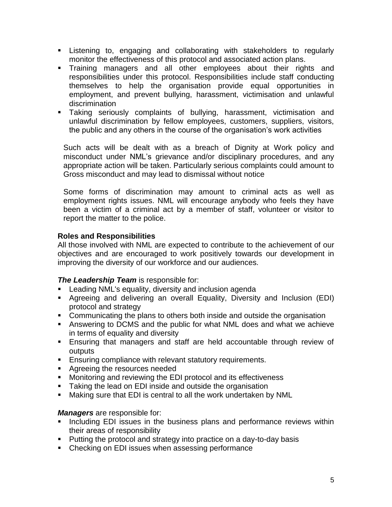- Listening to, engaging and collaborating with stakeholders to regularly monitor the effectiveness of this protocol and associated action plans.
- **Training managers and all other employees about their rights and** responsibilities under this protocol. Responsibilities include staff conducting themselves to help the organisation provide equal opportunities in employment, and prevent bullying, harassment, victimisation and unlawful discrimination
- Taking seriously complaints of bullying, harassment, victimisation and unlawful discrimination by fellow employees, customers, suppliers, visitors, the public and any others in the course of the organisation's work activities

Such acts will be dealt with as a breach of Dignity at Work policy and misconduct under NML's grievance and/or disciplinary procedures, and any appropriate action will be taken. Particularly serious complaints could amount to Gross misconduct and may lead to dismissal without notice

Some forms of discrimination may amount to criminal acts as well as employment rights issues. NML will encourage anybody who feels they have been a victim of a criminal act by a member of staff, volunteer or visitor to report the matter to the police.

# **Roles and Responsibilities**

All those involved with NML are expected to contribute to the achievement of our objectives and are encouraged to work positively towards our development in improving the diversity of our workforce and our audiences.

## *The Leadership Team* is responsible for:

- **EXEC** Leading NML's equality, diversity and inclusion agenda
- Agreeing and delivering an overall Equality, Diversity and Inclusion (EDI) protocol and strategy
- Communicating the plans to others both inside and outside the organisation
- Answering to DCMS and the public for what NML does and what we achieve in terms of equality and diversity
- Ensuring that managers and staff are held accountable through review of outputs
- **Ensuring compliance with relevant statutory requirements.**
- **Agreeing the resources needed**
- **Monitoring and reviewing the EDI protocol and its effectiveness**
- **Taking the lead on EDI inside and outside the organisation**
- Making sure that EDI is central to all the work undertaken by NML

## *Managers* are responsible for:

- **Including EDI issues in the business plans and performance reviews within** their areas of responsibility
- **Putting the protocol and strategy into practice on a day-to-day basis**
- Checking on EDI issues when assessing performance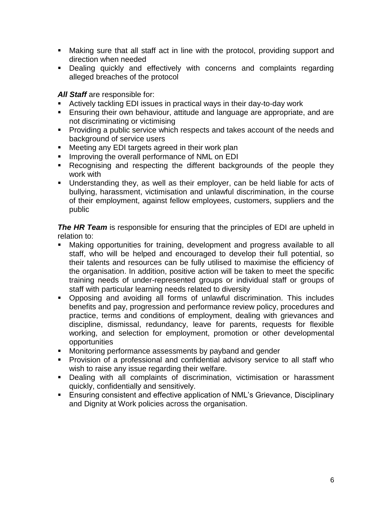- Making sure that all staff act in line with the protocol, providing support and direction when needed
- Dealing quickly and effectively with concerns and complaints regarding alleged breaches of the protocol

*All Staff* are responsible for:

- Actively tackling EDI issues in practical ways in their day-to-day work
- Ensuring their own behaviour, attitude and language are appropriate, and are not discriminating or victimising
- **Providing a public service which respects and takes account of the needs and** background of service users
- **Meeting any EDI targets agreed in their work plan**
- **IMPROVIG THE OVER INDEED FORMIST PROPERTY** Improving the overall performance of NML on EDI
- **Recognising and respecting the different backgrounds of the people they** work with
- Understanding they, as well as their employer, can be held liable for acts of bullying, harassment, victimisation and unlawful discrimination, in the course of their employment, against fellow employees, customers, suppliers and the public

**The HR Team** is responsible for ensuring that the principles of EDI are upheld in relation to:

- Making opportunities for training, development and progress available to all staff, who will be helped and encouraged to develop their full potential, so their talents and resources can be fully utilised to maximise the efficiency of the organisation. In addition, positive action will be taken to meet the specific training needs of under-represented groups or individual staff or groups of staff with particular learning needs related to diversity
- Opposing and avoiding all forms of unlawful discrimination. This includes benefits and pay, progression and performance review policy, procedures and practice, terms and conditions of employment, dealing with grievances and discipline, dismissal, redundancy, leave for parents, requests for flexible working, and selection for employment, promotion or other developmental opportunities
- **Monitoring performance assessments by payband and gender**
- Provision of a professional and confidential advisory service to all staff who wish to raise any issue regarding their welfare.
- Dealing with all complaints of discrimination, victimisation or harassment quickly, confidentially and sensitively.
- Ensuring consistent and effective application of NML's Grievance, Disciplinary and Dignity at Work policies across the organisation.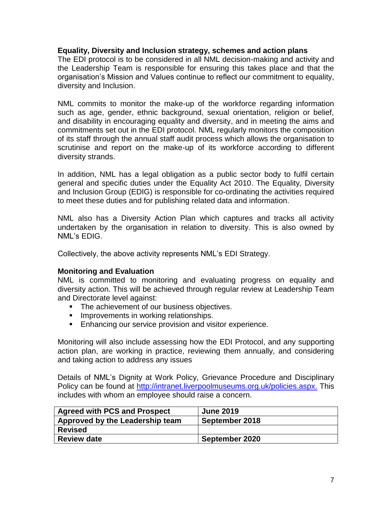#### **Equality, Diversity and Inclusion strategy, schemes and action plans**

The EDI protocol is to be considered in all NML decision-making and activity and the Leadership Team is responsible for ensuring this takes place and that the organisation's Mission and Values continue to reflect our commitment to equality, diversity and Inclusion.

NML commits to monitor the make-up of the workforce regarding information such as age, gender, ethnic background, sexual orientation, religion or belief, and disability in encouraging equality and diversity, and in meeting the aims and commitments set out in the EDI protocol. NML regularly monitors the composition of its staff through the annual staff audit process which allows the organisation to scrutinise and report on the make-up of its workforce according to different diversity strands.

In addition, NML has a legal obligation as a public sector body to fulfil certain general and specific duties under the Equality Act 2010. The Equality, Diversity and Inclusion Group (EDIG) is responsible for co-ordinating the activities required to meet these duties and for publishing related data and information.

NML also has a Diversity Action Plan which captures and tracks all activity undertaken by the organisation in relation to diversity. This is also owned by NML's EDIG.

Collectively, the above activity represents NML's EDI Strategy.

## **Monitoring and Evaluation**

NML is committed to monitoring and evaluating progress on equality and diversity action. This will be achieved through regular review at Leadership Team and Directorate level against:

- The achievement of our business objectives.
- **IMPROVEMENTS IN WORKING RELATIONSHIPS.**
- **Enhancing our service provision and visitor experience.**

Monitoring will also include assessing how the EDI Protocol, and any supporting action plan, are working in practice, reviewing them annually, and considering and taking action to address any issues

Details of NML's Dignity at Work Policy, Grievance Procedure and Disciplinary Policy can be found at [http://intranet.liverpoolmuseums.org.uk/policies.aspx.](http://intranet.liverpoolmuseums.org.uk/policies.aspx) This includes with whom an employee should raise a concern.

| <b>Agreed with PCS and Prospect</b> | <b>June 2019</b> |
|-------------------------------------|------------------|
| Approved by the Leadership team     | September 2018   |
| <b>Revised</b>                      |                  |
| <b>Review date</b>                  | September 2020   |